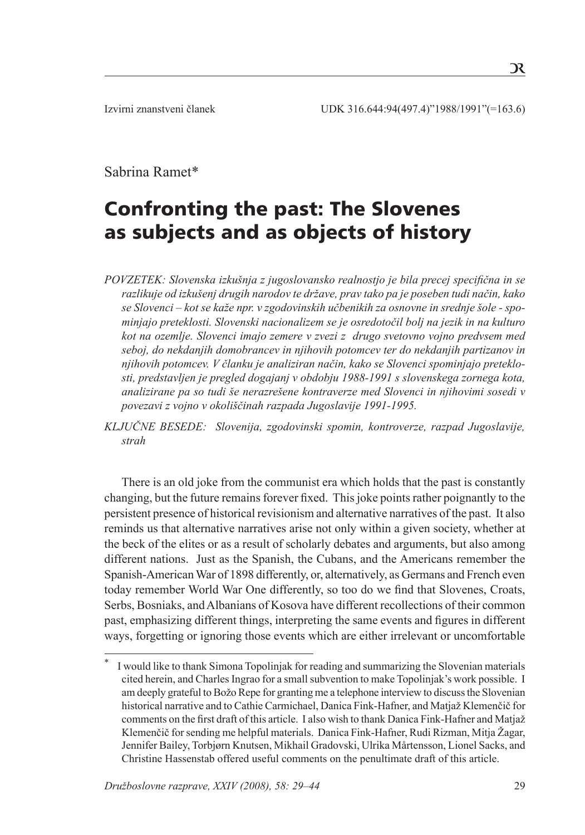# Sabrina Ramet\*

# Confronting the past: The Slovenes as subjects and as objects of history

*POVZETEK: Slovenska izkušnja z jugoslovansko realnostjo je bila precej specifična in se razlikuje od izkušenj drugih narodov te države, prav tako pa je poseben tudi način, kako se Slovenci – kot se kaže npr. v zgodovinskih učbenikih za osnovne in srednje šole - spominjajo preteklosti. Slovenski nacionalizem se je osredotočil bolj na jezik in na kulturo kot na ozemlje. Slovenci imajo zemere v zvezi z drugo svetovno vojno predvsem med seboj, do nekdanjih domobrancev in njihovih potomcev ter do nekdanjih partizanov in njihovih potomcev. V članku je analiziran način, kako se Slovenci spominjajo preteklosti, predstavljen je pregled dogajanj v obdobju 1988-1991 s slovenskega zornega kota, analizirane pa so tudi še nerazrešene kontraverze med Slovenci in njihovimi sosedi v povezavi z vojno v okoliščinah razpada Jugoslavije 1991-1995.* 

*KLJUČNE BESEDE: Slovenija, zgodovinski spomin, kontroverze, razpad Jugoslavije, strah*

 There is an old joke from the communist era which holds that the past is constantly changing, but the future remains forever fixed. This joke points rather poignantly to the persistent presence of historical revisionism and alternative narratives of the past. It also reminds us that alternative narratives arise not only within a given society, whether at the beck of the elites or as a result of scholarly debates and arguments, but also among different nations. Just as the Spanish, the Cubans, and the Americans remember the Spanish-American War of 1898 differently, or, alternatively, as Germans and French even today remember World War One differently, so too do we find that Slovenes, Croats, Serbs, Bosniaks, and Albanians of Kosova have different recollections of their common past, emphasizing different things, interpreting the same events and figures in different ways, forgetting or ignoring those events which are either irrelevant or uncomfortable

I would like to thank Simona Topolinjak for reading and summarizing the Slovenian materials cited herein, and Charles Ingrao for a small subvention to make Topolinjak's work possible. I am deeply grateful to Božo Repe for granting me a telephone interview to discuss the Slovenian historical narrative and to Cathie Carmichael, Danica Fink-Hafner, and Matjaž Klemenčič for comments on the first draft of this article. I also wish to thank Danica Fink-Hafner and Matjaž Klemenčič for sending me helpful materials. Danica Fink-Hafner, Rudi Rizman, Mitja Žagar, Jennifer Bailey, Torbjørn Knutsen, Mikhail Gradovski, Ulrika Mårtensson, Lionel Sacks, and Christine Hassenstab offered useful comments on the penultimate draft of this article.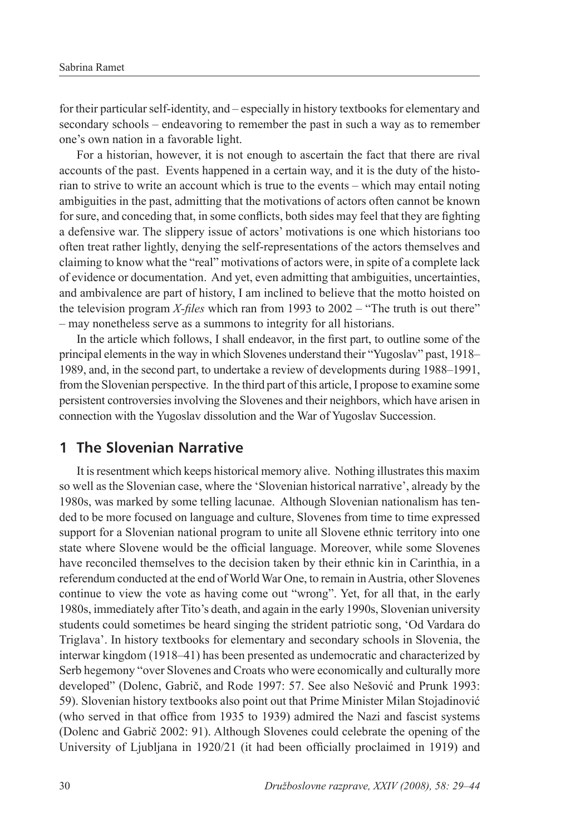for their particular self-identity, and – especially in history textbooks for elementary and secondary schools – endeavoring to remember the past in such a way as to remember one's own nation in a favorable light.

For a historian, however, it is not enough to ascertain the fact that there are rival accounts of the past. Events happened in a certain way, and it is the duty of the historian to strive to write an account which is true to the events – which may entail noting ambiguities in the past, admitting that the motivations of actors often cannot be known for sure, and conceding that, in some conflicts, both sides may feel that they are fighting a defensive war. The slippery issue of actors' motivations is one which historians too often treat rather lightly, denying the self-representations of the actors themselves and claiming to know what the "real" motivations of actors were, in spite of a complete lack of evidence or documentation. And yet, even admitting that ambiguities, uncertainties, and ambivalence are part of history, I am inclined to believe that the motto hoisted on the television program *X-files* which ran from 1993 to 2002 – "The truth is out there" – may nonetheless serve as a summons to integrity for all historians.

 In the article which follows, I shall endeavor, in the first part, to outline some of the principal elements in the way in which Slovenes understand their "Yugoslav" past, 1918– 1989, and, in the second part, to undertake a review of developments during 1988–1991, from the Slovenian perspective. In the third part of this article, I propose to examine some persistent controversies involving the Slovenes and their neighbors, which have arisen in connection with the Yugoslav dissolution and the War of Yugoslav Succession.

## **1 The Slovenian Narrative**

 It is resentment which keeps historical memory alive. Nothing illustrates this maxim so well as the Slovenian case, where the 'Slovenian historical narrative', already by the 1980s, was marked by some telling lacunae. Although Slovenian nationalism has tended to be more focused on language and culture, Slovenes from time to time expressed support for a Slovenian national program to unite all Slovene ethnic territory into one state where Slovene would be the official language. Moreover, while some Slovenes have reconciled themselves to the decision taken by their ethnic kin in Carinthia, in a referendum conducted at the end of World War One, to remain in Austria, other Slovenes continue to view the vote as having come out "wrong". Yet, for all that, in the early 1980s, immediately after Tito's death, and again in the early 1990s, Slovenian university students could sometimes be heard singing the strident patriotic song, 'Od Vardara do Triglava'. In history textbooks for elementary and secondary schools in Slovenia, the interwar kingdom (1918–41) has been presented as undemocratic and characterized by Serb hegemony "over Slovenes and Croats who were economically and culturally more developed" (Dolenc, Gabrič, and Rode 1997: 57. See also Nešović and Prunk 1993: 59). Slovenian history textbooks also point out that Prime Minister Milan Stojadinović (who served in that office from 1935 to 1939) admired the Nazi and fascist systems (Dolenc and Gabrič 2002: 91). Although Slovenes could celebrate the opening of the University of Ljubljana in 1920/21 (it had been officially proclaimed in 1919) and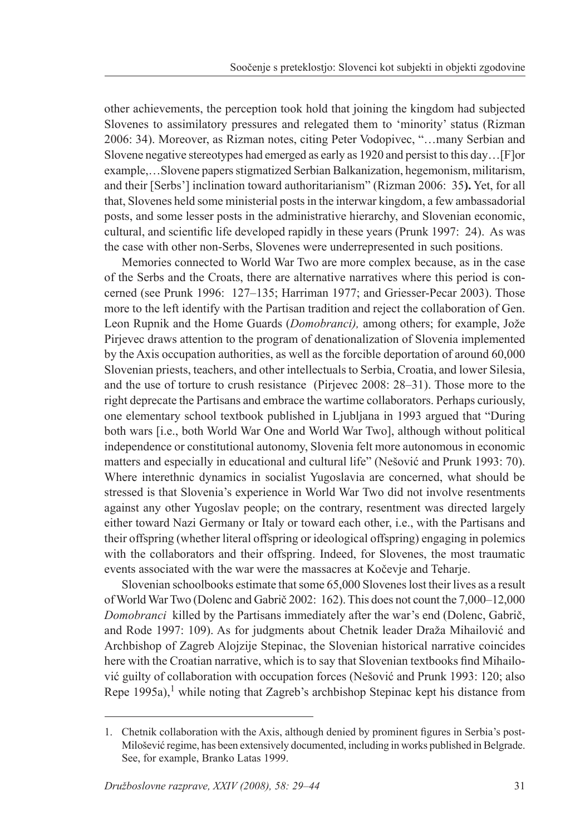other achievements, the perception took hold that joining the kingdom had subjected Slovenes to assimilatory pressures and relegated them to 'minority' status (Rizman 2006: 34). Moreover, as Rizman notes, citing Peter Vodopivec, "…many Serbian and Slovene negative stereotypes had emerged as early as 1920 and persist to this day…[F]or example,…Slovene papers stigmatized Serbian Balkanization, hegemonism, militarism, and their [Serbs'] inclination toward authoritarianism" (Rizman 2006: 35**).** Yet, for all that, Slovenes held some ministerial posts in the interwar kingdom, a few ambassadorial posts, and some lesser posts in the administrative hierarchy, and Slovenian economic, cultural, and scientific life developed rapidly in these years (Prunk 1997: 24). As was the case with other non-Serbs, Slovenes were underrepresented in such positions.

 Memories connected to World War Two are more complex because, as in the case of the Serbs and the Croats, there are alternative narratives where this period is concerned (see Prunk 1996: 127–135; Harriman 1977; and Griesser-Pecar 2003). Those more to the left identify with the Partisan tradition and reject the collaboration of Gen. Leon Rupnik and the Home Guards (*Domobranci),* among others; for example, Jože Pirjevec draws attention to the program of denationalization of Slovenia implemented by the Axis occupation authorities, as well as the forcible deportation of around 60,000 Slovenian priests, teachers, and other intellectuals to Serbia, Croatia, and lower Silesia, and the use of torture to crush resistance (Pirjevec 2008: 28–31). Those more to the right deprecate the Partisans and embrace the wartime collaborators. Perhaps curiously, one elementary school textbook published in Ljubljana in 1993 argued that "During both wars [i.e., both World War One and World War Two], although without political independence or constitutional autonomy, Slovenia felt more autonomous in economic matters and especially in educational and cultural life" (Nešović and Prunk 1993: 70). Where interethnic dynamics in socialist Yugoslavia are concerned, what should be stressed is that Slovenia's experience in World War Two did not involve resentments against any other Yugoslav people; on the contrary, resentment was directed largely either toward Nazi Germany or Italy or toward each other, i.e., with the Partisans and their offspring (whether literal offspring or ideological offspring) engaging in polemics with the collaborators and their offspring. Indeed, for Slovenes, the most traumatic events associated with the war were the massacres at Kočevje and Teharje.

 Slovenian schoolbooks estimate that some 65,000 Slovenes lost their lives as a result of World War Two (Dolenc and Gabrič 2002: 162). This does not count the 7,000–12,000 *Domobranci* killed by the Partisans immediately after the war's end (Dolenc, Gabrič, and Rode 1997: 109). As for judgments about Chetnik leader Draža Mihailović and Archbishop of Zagreb Alojzije Stepinac, the Slovenian historical narrative coincides here with the Croatian narrative, which is to say that Slovenian textbooks find Mihailović guilty of collaboration with occupation forces (Nešović and Prunk 1993: 120; also Repe  $1995a$ ,<sup>1</sup> while noting that Zagreb's archbishop Stepinac kept his distance from

<sup>1.</sup> Chetnik collaboration with the Axis, although denied by prominent figures in Serbia's post-Milošević regime, has been extensively documented, including in works published in Belgrade. See, for example, Branko Latas 1999.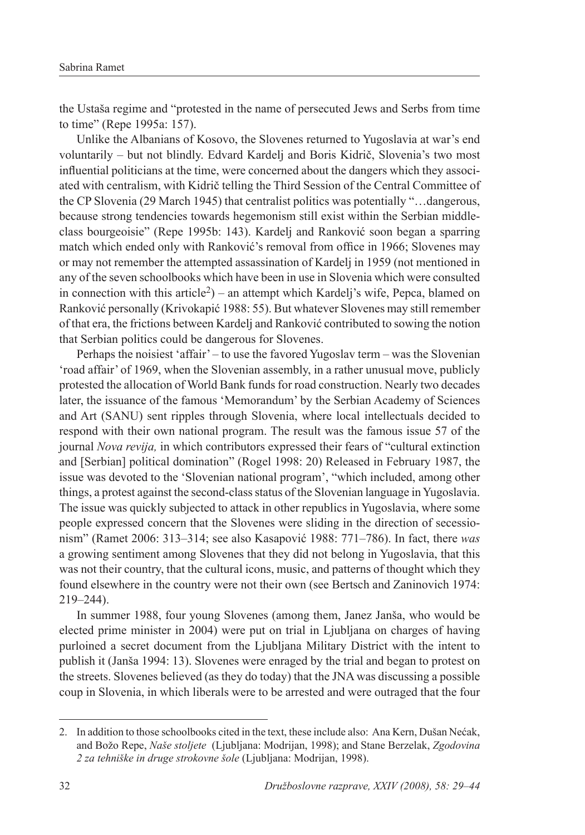the Ustaša regime and "protested in the name of persecuted Jews and Serbs from time to time" (Repe 1995a: 157).

 Unlike the Albanians of Kosovo, the Slovenes returned to Yugoslavia at war's end voluntarily – but not blindly. Edvard Kardelj and Boris Kidrič, Slovenia's two most influential politicians at the time, were concerned about the dangers which they associated with centralism, with Kidrič telling the Third Session of the Central Committee of the CP Slovenia (29 March 1945) that centralist politics was potentially "…dangerous, because strong tendencies towards hegemonism still exist within the Serbian middleclass bourgeoisie" (Repe 1995b: 143). Kardelj and Ranković soon began a sparring match which ended only with Ranković's removal from office in 1966; Slovenes may or may not remember the attempted assassination of Kardelj in 1959 (not mentioned in any of the seven schoolbooks which have been in use in Slovenia which were consulted in connection with this article<sup>2</sup>) – an attempt which Kardelj's wife, Pepca, blamed on Ranković personally (Krivokapić 1988: 55). But whatever Slovenes may still remember of that era, the frictions between Kardelj and Ranković contributed to sowing the notion that Serbian politics could be dangerous for Slovenes.

 Perhaps the noisiest 'affair' – to use the favored Yugoslav term – was the Slovenian 'road affair' of 1969, when the Slovenian assembly, in a rather unusual move, publicly protested the allocation of World Bank funds for road construction. Nearly two decades later, the issuance of the famous 'Memorandum' by the Serbian Academy of Sciences and Art (SANU) sent ripples through Slovenia, where local intellectuals decided to respond with their own national program. The result was the famous issue 57 of the journal *Nova revija,* in which contributors expressed their fears of "cultural extinction and [Serbian] political domination" (Rogel 1998: 20) Released in February 1987, the issue was devoted to the 'Slovenian national program', "which included, among other things, a protest against the second-class status of the Slovenian language in Yugoslavia. The issue was quickly subjected to attack in other republics in Yugoslavia, where some people expressed concern that the Slovenes were sliding in the direction of secessionism" (Ramet 2006: 313–314; see also Kasapović 1988: 771–786). In fact, there *was*  a growing sentiment among Slovenes that they did not belong in Yugoslavia, that this was not their country, that the cultural icons, music, and patterns of thought which they found elsewhere in the country were not their own (see Bertsch and Zaninovich 1974: 219–244).

 In summer 1988, four young Slovenes (among them, Janez Janša, who would be elected prime minister in 2004) were put on trial in Ljubljana on charges of having purloined a secret document from the Ljubljana Military District with the intent to publish it (Janša 1994: 13). Slovenes were enraged by the trial and began to protest on the streets. Slovenes believed (as they do today) that the JNA was discussing a possible coup in Slovenia, in which liberals were to be arrested and were outraged that the four

<sup>2.</sup> In addition to those schoolbooks cited in the text, these include also: Ana Kern, Dušan Nećak, and Božo Repe, *Naše stoljete* (Ljubljana: Modrijan, 1998); and Stane Berzelak, *Zgodovina 2 za tehniške in druge strokovne šole* (Ljubljana: Modrijan, 1998).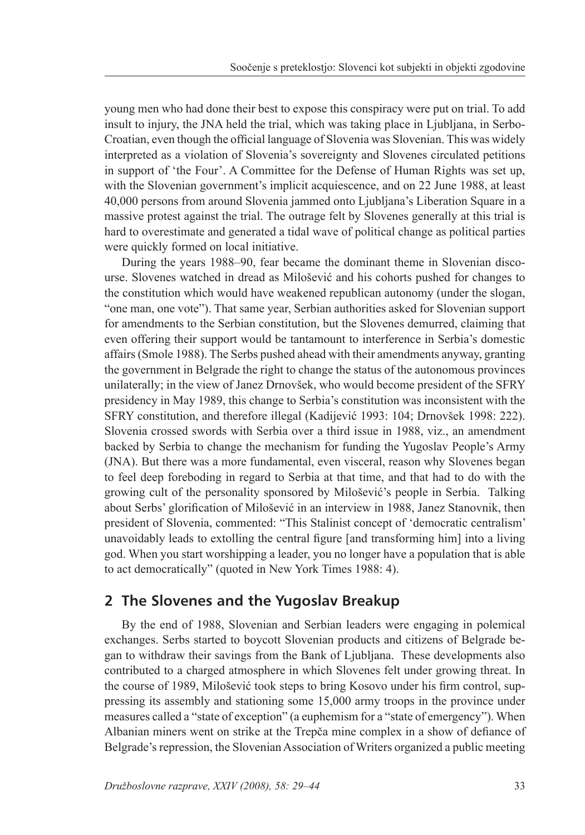young men who had done their best to expose this conspiracy were put on trial. To add insult to injury, the JNA held the trial, which was taking place in Ljubljana, in Serbo-Croatian, even though the official language of Slovenia was Slovenian. This was widely interpreted as a violation of Slovenia's sovereignty and Slovenes circulated petitions in support of 'the Four'. A Committee for the Defense of Human Rights was set up, with the Slovenian government's implicit acquiescence, and on 22 June 1988, at least 40,000 persons from around Slovenia jammed onto Ljubljana's Liberation Square in a massive protest against the trial. The outrage felt by Slovenes generally at this trial is hard to overestimate and generated a tidal wave of political change as political parties were quickly formed on local initiative.

 During the years 1988–90, fear became the dominant theme in Slovenian discourse. Slovenes watched in dread as Milošević and his cohorts pushed for changes to the constitution which would have weakened republican autonomy (under the slogan, "one man, one vote"). That same year, Serbian authorities asked for Slovenian support for amendments to the Serbian constitution, but the Slovenes demurred, claiming that even offering their support would be tantamount to interference in Serbia's domestic affairs (Smole 1988). The Serbs pushed ahead with their amendments anyway, granting the government in Belgrade the right to change the status of the autonomous provinces unilaterally; in the view of Janez Drnovšek, who would become president of the SFRY presidency in May 1989, this change to Serbia's constitution was inconsistent with the SFRY constitution, and therefore illegal (Kadijević 1993: 104; Drnovšek 1998: 222). Slovenia crossed swords with Serbia over a third issue in 1988, viz., an amendment backed by Serbia to change the mechanism for funding the Yugoslav People's Army (JNA). But there was a more fundamental, even visceral, reason why Slovenes began to feel deep foreboding in regard to Serbia at that time, and that had to do with the growing cult of the personality sponsored by Milošević's people in Serbia. Talking about Serbs' glorification of Milošević in an interview in 1988, Janez Stanovnik, then president of Slovenia, commented: "This Stalinist concept of 'democratic centralism' unavoidably leads to extolling the central figure [and transforming him] into a living god. When you start worshipping a leader, you no longer have a population that is able to act democratically" (quoted in New York Times 1988: 4).

# **2 The Slovenes and the Yugoslav Breakup**

 By the end of 1988, Slovenian and Serbian leaders were engaging in polemical exchanges. Serbs started to boycott Slovenian products and citizens of Belgrade began to withdraw their savings from the Bank of Ljubljana. These developments also contributed to a charged atmosphere in which Slovenes felt under growing threat. In the course of 1989, Milošević took steps to bring Kosovo under his firm control, suppressing its assembly and stationing some 15,000 army troops in the province under measures called a "state of exception" (a euphemism for a "state of emergency"). When Albanian miners went on strike at the Trepča mine complex in a show of defiance of Belgrade's repression, the Slovenian Association of Writers organized a public meeting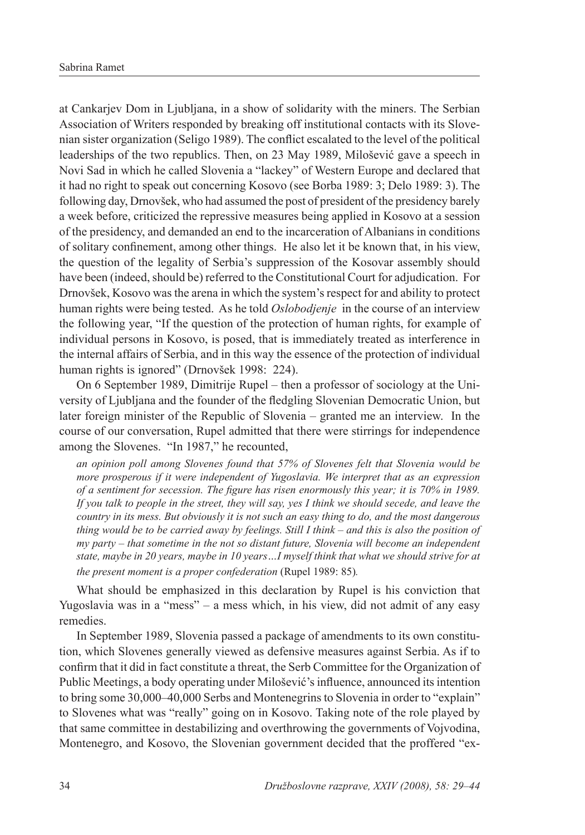at Cankarjev Dom in Ljubljana, in a show of solidarity with the miners. The Serbian Association of Writers responded by breaking off institutional contacts with its Slovenian sister organization (Seligo 1989). The conflict escalated to the level of the political leaderships of the two republics. Then, on 23 May 1989, Milošević gave a speech in Novi Sad in which he called Slovenia a "lackey" of Western Europe and declared that it had no right to speak out concerning Kosovo (see Borba 1989: 3; Delo 1989: 3). The following day, Drnovšek, who had assumed the post of president of the presidency barely a week before, criticized the repressive measures being applied in Kosovo at a session of the presidency, and demanded an end to the incarceration of Albanians in conditions of solitary confinement, among other things. He also let it be known that, in his view, the question of the legality of Serbia's suppression of the Kosovar assembly should have been (indeed, should be) referred to the Constitutional Court for adjudication. For Drnovšek, Kosovo was the arena in which the system's respect for and ability to protect human rights were being tested. As he told *Oslobodjenje* in the course of an interview the following year, "If the question of the protection of human rights, for example of individual persons in Kosovo, is posed, that is immediately treated as interference in the internal affairs of Serbia, and in this way the essence of the protection of individual human rights is ignored" (Drnovšek 1998: 224).

 On 6 September 1989, Dimitrije Rupel – then a professor of sociology at the University of Ljubljana and the founder of the fledgling Slovenian Democratic Union, but later foreign minister of the Republic of Slovenia – granted me an interview. In the course of our conversation, Rupel admitted that there were stirrings for independence among the Slovenes. "In 1987," he recounted,

 *an opinion poll among Slovenes found that 57% of Slovenes felt that Slovenia would be more prosperous if it were independent of Yugoslavia. We interpret that as an expression of a sentiment for secession. The figure has risen enormously this year; it is 70% in 1989. If you talk to people in the street, they will say, yes I think we should secede, and leave the country in its mess. But obviously it is not such an easy thing to do, and the most dangerous thing would be to be carried away by feelings. Still I think – and this is also the position of my party – that sometime in the not so distant future, Slovenia will become an independent state, maybe in 20 years, maybe in 10 years…I myself think that what we should strive for at the present moment is a proper confederation* (Rupel 1989: 85)*.*

What should be emphasized in this declaration by Rupel is his conviction that Yugoslavia was in a "mess" – a mess which, in his view, did not admit of any easy remedies.

 In September 1989, Slovenia passed a package of amendments to its own constitution, which Slovenes generally viewed as defensive measures against Serbia. As if to confirm that it did in fact constitute a threat, the Serb Committee for the Organization of Public Meetings, a body operating under Milošević's influence, announced its intention to bring some 30,000–40,000 Serbs and Montenegrins to Slovenia in order to "explain" to Slovenes what was "really" going on in Kosovo. Taking note of the role played by that same committee in destabilizing and overthrowing the governments of Vojvodina, Montenegro, and Kosovo, the Slovenian government decided that the proffered "ex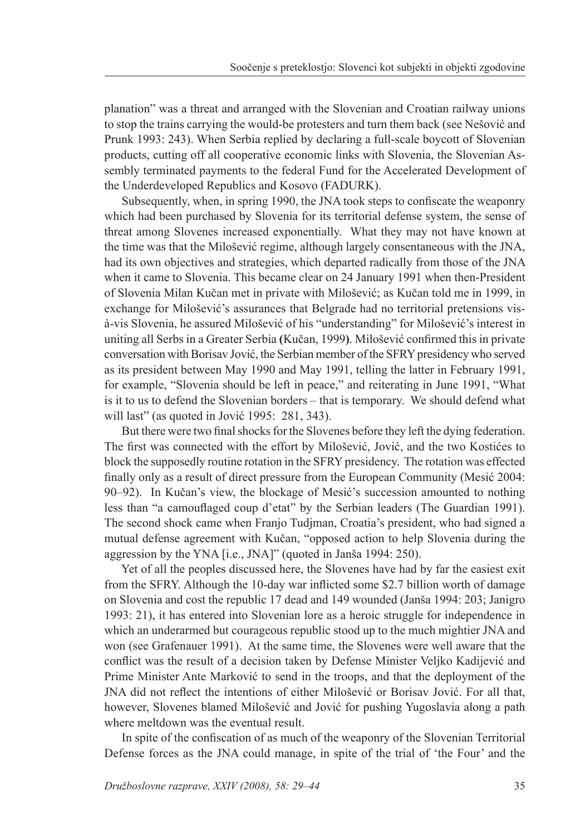planation" was a threat and arranged with the Slovenian and Croatian railway unions to stop the trains carrying the would-be protesters and turn them back (see Nešović and Prunk 1993: 243). When Serbia replied by declaring a full-scale boycott of Slovenian products, cutting off all cooperative economic links with Slovenia, the Slovenian Assembly terminated payments to the federal Fund for the Accelerated Development of the Underdeveloped Republics and Kosovo (FADURK).

 Subsequently, when, in spring 1990, the JNA took steps to confiscate the weaponry which had been purchased by Slovenia for its territorial defense system, the sense of threat among Slovenes increased exponentially. What they may not have known at the time was that the Milošević regime, although largely consentaneous with the JNA, had its own objectives and strategies, which departed radically from those of the JNA when it came to Slovenia. This became clear on 24 January 1991 when then-President of Slovenia Milan Kučan met in private with Milošević; as Kučan told me in 1999, in exchange for Milošević's assurances that Belgrade had no territorial pretensions visà-vis Slovenia, he assured Milošević of his "understanding" for Milošević's interest in uniting all Serbs in a Greater Serbia **(**Kučan, 1999**)**. Milošević confirmed this in private conversation with Borisav Jović, the Serbian member of the SFRY presidency who served as its president between May 1990 and May 1991, telling the latter in February 1991, for example, "Slovenia should be left in peace," and reiterating in June 1991, "What is it to us to defend the Slovenian borders – that is temporary. We should defend what will last" (as quoted in Jović 1995: 281, 343).

 But there were two final shocks for the Slovenes before they left the dying federation. The first was connected with the effort by Milošević, Jović, and the two Kostićes to block the supposedly routine rotation in the SFRY presidency. The rotation was effected finally only as a result of direct pressure from the European Community (Mesić 2004: 90–92). In Kučan's view, the blockage of Mesić's succession amounted to nothing less than "a camouflaged coup d'etat" by the Serbian leaders (The Guardian 1991). The second shock came when Franjo Tudjman, Croatia's president, who had signed a mutual defense agreement with Kučan, "opposed action to help Slovenia during the aggression by the YNA [i.e., JNA]" (quoted in Janša 1994: 250).

 Yet of all the peoples discussed here, the Slovenes have had by far the easiest exit from the SFRY. Although the 10-day war inflicted some \$2.7 billion worth of damage on Slovenia and cost the republic 17 dead and 149 wounded (Janša 1994: 203; Janigro 1993: 21), it has entered into Slovenian lore as a heroic struggle for independence in which an underarmed but courageous republic stood up to the much mightier JNA and won (see Grafenauer 1991). At the same time, the Slovenes were well aware that the conflict was the result of a decision taken by Defense Minister Veljko Kadijević and Prime Minister Ante Marković to send in the troops, and that the deployment of the JNA did not reflect the intentions of either Milošević or Borisav Jović. For all that, however, Slovenes blamed Milošević and Jović for pushing Yugoslavia along a path where meltdown was the eventual result.

 In spite of the confiscation of as much of the weaponry of the Slovenian Territorial Defense forces as the JNA could manage, in spite of the trial of 'the Four' and the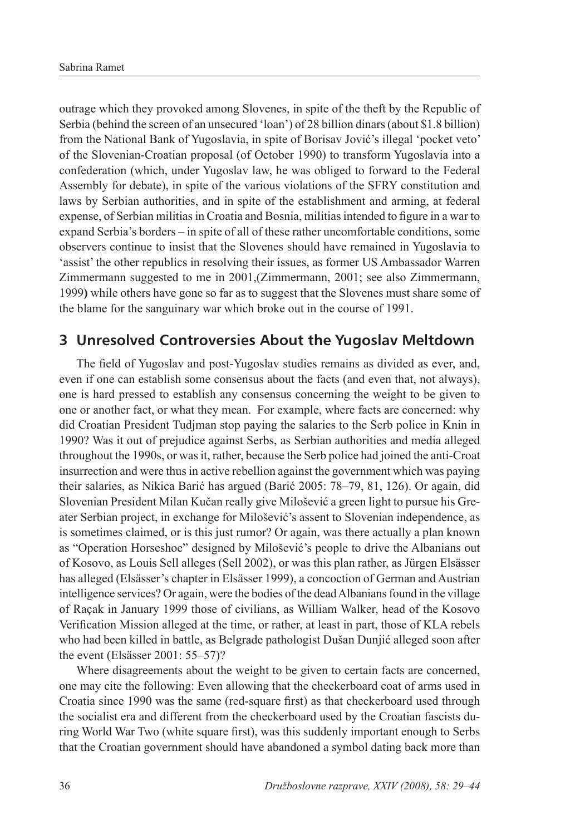outrage which they provoked among Slovenes, in spite of the theft by the Republic of Serbia (behind the screen of an unsecured 'loan') of 28 billion dinars (about \$1.8 billion) from the National Bank of Yugoslavia, in spite of Borisav Jović's illegal 'pocket veto' of the Slovenian-Croatian proposal (of October 1990) to transform Yugoslavia into a confederation (which, under Yugoslav law, he was obliged to forward to the Federal Assembly for debate), in spite of the various violations of the SFRY constitution and laws by Serbian authorities, and in spite of the establishment and arming, at federal expense, of Serbian militias in Croatia and Bosnia, militias intended to figure in a war to expand Serbia's borders – in spite of all of these rather uncomfortable conditions, some observers continue to insist that the Slovenes should have remained in Yugoslavia to 'assist' the other republics in resolving their issues, as former US Ambassador Warren Zimmermann suggested to me in 2001,(Zimmermann, 2001; see also Zimmermann, 1999**)** while others have gone so far as to suggest that the Slovenes must share some of the blame for the sanguinary war which broke out in the course of 1991.

### **3 Unresolved Controversies About the Yugoslav Meltdown**

 The field of Yugoslav and post-Yugoslav studies remains as divided as ever, and, even if one can establish some consensus about the facts (and even that, not always), one is hard pressed to establish any consensus concerning the weight to be given to one or another fact, or what they mean. For example, where facts are concerned: why did Croatian President Tudjman stop paying the salaries to the Serb police in Knin in 1990? Was it out of prejudice against Serbs, as Serbian authorities and media alleged throughout the 1990s, or was it, rather, because the Serb police had joined the anti-Croat insurrection and were thus in active rebellion against the government which was paying their salaries, as Nikica Barić has argued (Barić 2005: 78–79, 81, 126). Or again, did Slovenian President Milan Kučan really give Milošević a green light to pursue his Greater Serbian project, in exchange for Milošević's assent to Slovenian independence, as is sometimes claimed, or is this just rumor? Or again, was there actually a plan known as "Operation Horseshoe" designed by Milošević's people to drive the Albanians out of Kosovo, as Louis Sell alleges (Sell 2002), or was this plan rather, as Jürgen Elsässer has alleged (Elsässer's chapter in Elsässer 1999), a concoction of German and Austrian intelligence services? Or again, were the bodies of the dead Albanians found in the village of Raçak in January 1999 those of civilians, as William Walker, head of the Kosovo Verification Mission alleged at the time, or rather, at least in part, those of KLA rebels who had been killed in battle, as Belgrade pathologist Dušan Dunjić alleged soon after the event (Elsässer 2001: 55–57)?

 Where disagreements about the weight to be given to certain facts are concerned, one may cite the following: Even allowing that the checkerboard coat of arms used in Croatia since 1990 was the same (red-square first) as that checkerboard used through the socialist era and different from the checkerboard used by the Croatian fascists during World War Two (white square first), was this suddenly important enough to Serbs that the Croatian government should have abandoned a symbol dating back more than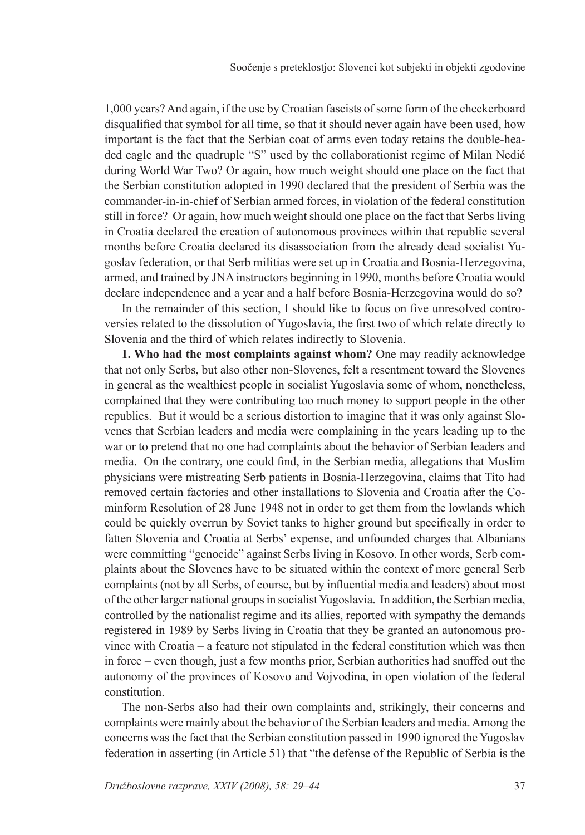1,000 years? And again, if the use by Croatian fascists of some form of the checkerboard disqualified that symbol for all time, so that it should never again have been used, how important is the fact that the Serbian coat of arms even today retains the double-headed eagle and the quadruple "S" used by the collaborationist regime of Milan Nedić during World War Two? Or again, how much weight should one place on the fact that the Serbian constitution adopted in 1990 declared that the president of Serbia was the commander-in-in-chief of Serbian armed forces, in violation of the federal constitution still in force? Or again, how much weight should one place on the fact that Serbs living in Croatia declared the creation of autonomous provinces within that republic several months before Croatia declared its disassociation from the already dead socialist Yugoslav federation, or that Serb militias were set up in Croatia and Bosnia-Herzegovina, armed, and trained by JNA instructors beginning in 1990, months before Croatia would declare independence and a year and a half before Bosnia-Herzegovina would do so?

 In the remainder of this section, I should like to focus on five unresolved controversies related to the dissolution of Yugoslavia, the first two of which relate directly to Slovenia and the third of which relates indirectly to Slovenia.

**1. Who had the most complaints against whom?** One may readily acknowledge that not only Serbs, but also other non-Slovenes, felt a resentment toward the Slovenes in general as the wealthiest people in socialist Yugoslavia some of whom, nonetheless, complained that they were contributing too much money to support people in the other republics. But it would be a serious distortion to imagine that it was only against Slovenes that Serbian leaders and media were complaining in the years leading up to the war or to pretend that no one had complaints about the behavior of Serbian leaders and media. On the contrary, one could find, in the Serbian media, allegations that Muslim physicians were mistreating Serb patients in Bosnia-Herzegovina, claims that Tito had removed certain factories and other installations to Slovenia and Croatia after the Cominform Resolution of 28 June 1948 not in order to get them from the lowlands which could be quickly overrun by Soviet tanks to higher ground but specifically in order to fatten Slovenia and Croatia at Serbs' expense, and unfounded charges that Albanians were committing "genocide" against Serbs living in Kosovo. In other words, Serb complaints about the Slovenes have to be situated within the context of more general Serb complaints (not by all Serbs, of course, but by influential media and leaders) about most of the other larger national groups in socialist Yugoslavia. In addition, the Serbian media, controlled by the nationalist regime and its allies, reported with sympathy the demands registered in 1989 by Serbs living in Croatia that they be granted an autonomous province with Croatia – a feature not stipulated in the federal constitution which was then in force – even though, just a few months prior, Serbian authorities had snuffed out the autonomy of the provinces of Kosovo and Vojvodina, in open violation of the federal constitution.

 The non-Serbs also had their own complaints and, strikingly, their concerns and complaints were mainly about the behavior of the Serbian leaders and media. Among the concerns was the fact that the Serbian constitution passed in 1990 ignored the Yugoslav federation in asserting (in Article 51) that "the defense of the Republic of Serbia is the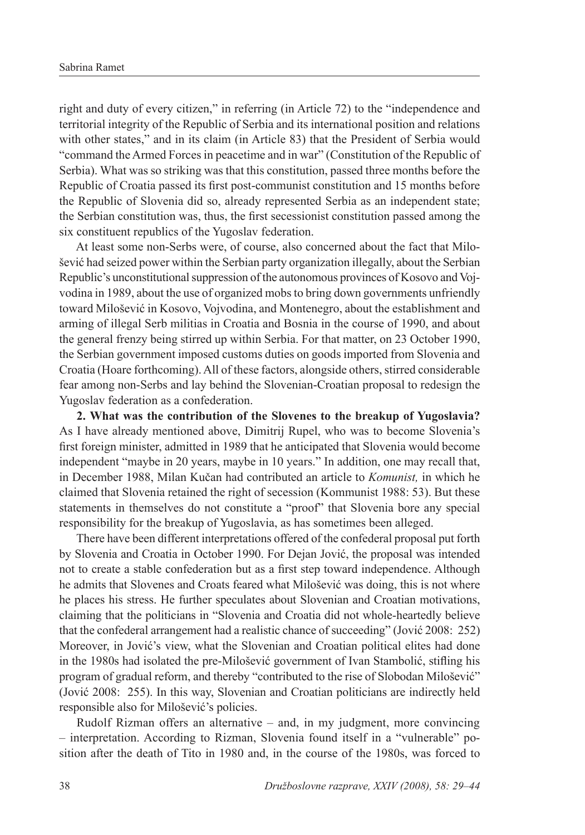right and duty of every citizen," in referring (in Article 72) to the "independence and territorial integrity of the Republic of Serbia and its international position and relations with other states," and in its claim (in Article 83) that the President of Serbia would "command the Armed Forces in peacetime and in war" (Constitution of the Republic of Serbia). What was so striking was that this constitution, passed three months before the Republic of Croatia passed its first post-communist constitution and 15 months before the Republic of Slovenia did so, already represented Serbia as an independent state; the Serbian constitution was, thus, the first secessionist constitution passed among the six constituent republics of the Yugoslav federation.

 At least some non-Serbs were, of course, also concerned about the fact that Milošević had seized power within the Serbian party organization illegally, about the Serbian Republic's unconstitutional suppression of the autonomous provinces of Kosovo and Vojvodina in 1989, about the use of organized mobs to bring down governments unfriendly toward Milošević in Kosovo, Vojvodina, and Montenegro, about the establishment and arming of illegal Serb militias in Croatia and Bosnia in the course of 1990, and about the general frenzy being stirred up within Serbia. For that matter, on 23 October 1990, the Serbian government imposed customs duties on goods imported from Slovenia and Croatia (Hoare forthcoming). All of these factors, alongside others, stirred considerable fear among non-Serbs and lay behind the Slovenian-Croatian proposal to redesign the Yugoslav federation as a confederation.

 **2. What was the contribution of the Slovenes to the breakup of Yugoslavia?**  As I have already mentioned above, Dimitrij Rupel, who was to become Slovenia's first foreign minister, admitted in 1989 that he anticipated that Slovenia would become independent "maybe in 20 years, maybe in 10 years." In addition, one may recall that, in December 1988, Milan Kučan had contributed an article to *Komunist,* in which he claimed that Slovenia retained the right of secession (Kommunist 1988: 53). But these statements in themselves do not constitute a "proof" that Slovenia bore any special responsibility for the breakup of Yugoslavia, as has sometimes been alleged.

 There have been different interpretations offered of the confederal proposal put forth by Slovenia and Croatia in October 1990. For Dejan Jović, the proposal was intended not to create a stable confederation but as a first step toward independence. Although he admits that Slovenes and Croats feared what Milošević was doing, this is not where he places his stress. He further speculates about Slovenian and Croatian motivations, claiming that the politicians in "Slovenia and Croatia did not whole-heartedly believe that the confederal arrangement had a realistic chance of succeeding" (Jović 2008: 252) Moreover, in Jović's view, what the Slovenian and Croatian political elites had done in the 1980s had isolated the pre-Milošević government of Ivan Stambolić, stifling his program of gradual reform, and thereby "contributed to the rise of Slobodan Milošević" (Jović 2008: 255). In this way, Slovenian and Croatian politicians are indirectly held responsible also for Milošević's policies.

 Rudolf Rizman offers an alternative – and, in my judgment, more convincing – interpretation. According to Rizman, Slovenia found itself in a "vulnerable" position after the death of Tito in 1980 and, in the course of the 1980s, was forced to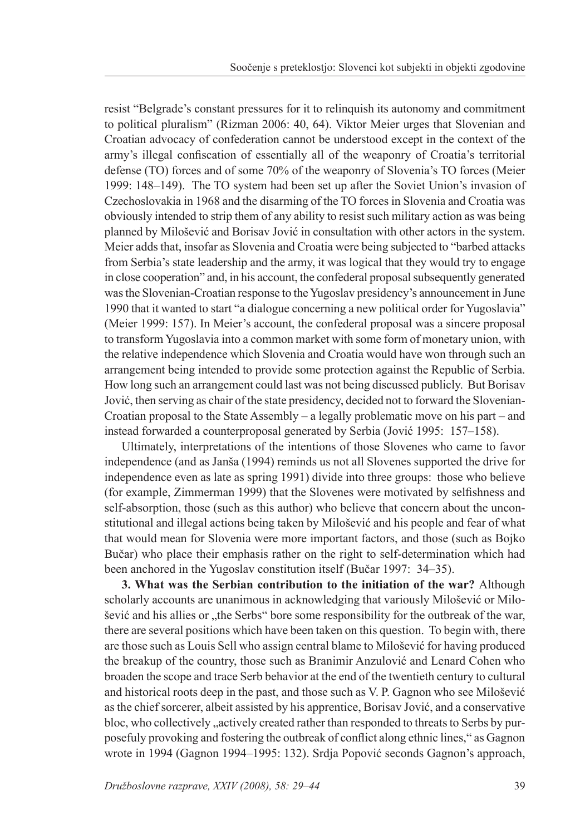resist "Belgrade's constant pressures for it to relinquish its autonomy and commitment to political pluralism" (Rizman 2006: 40, 64). Viktor Meier urges that Slovenian and Croatian advocacy of confederation cannot be understood except in the context of the army's illegal confiscation of essentially all of the weaponry of Croatia's territorial defense (TO) forces and of some 70% of the weaponry of Slovenia's TO forces (Meier 1999: 148–149). The TO system had been set up after the Soviet Union's invasion of Czechoslovakia in 1968 and the disarming of the TO forces in Slovenia and Croatia was obviously intended to strip them of any ability to resist such military action as was being planned by Milošević and Borisav Jović in consultation with other actors in the system. Meier adds that, insofar as Slovenia and Croatia were being subjected to "barbed attacks from Serbia's state leadership and the army, it was logical that they would try to engage in close cooperation" and, in his account, the confederal proposal subsequently generated was the Slovenian-Croatian response to the Yugoslav presidency's announcement in June 1990 that it wanted to start "a dialogue concerning a new political order for Yugoslavia" (Meier 1999: 157). In Meier's account, the confederal proposal was a sincere proposal to transform Yugoslavia into a common market with some form of monetary union, with the relative independence which Slovenia and Croatia would have won through such an arrangement being intended to provide some protection against the Republic of Serbia. How long such an arrangement could last was not being discussed publicly. But Borisav Jović, then serving as chair of the state presidency, decided not to forward the Slovenian-Croatian proposal to the State Assembly – a legally problematic move on his part – and instead forwarded a counterproposal generated by Serbia (Jović 1995: 157–158).

 Ultimately, interpretations of the intentions of those Slovenes who came to favor independence (and as Janša (1994) reminds us not all Slovenes supported the drive for independence even as late as spring 1991) divide into three groups: those who believe (for example, Zimmerman 1999) that the Slovenes were motivated by selfishness and self-absorption, those (such as this author) who believe that concern about the unconstitutional and illegal actions being taken by Milošević and his people and fear of what that would mean for Slovenia were more important factors, and those (such as Bojko Bučar) who place their emphasis rather on the right to self-determination which had been anchored in the Yugoslav constitution itself (Bučar 1997: 34–35).

 **3. What was the Serbian contribution to the initiation of the war?** Although scholarly accounts are unanimous in acknowledging that variously Milošević or Milošević and his allies or "the Serbs" bore some responsibility for the outbreak of the war, there are several positions which have been taken on this question. To begin with, there are those such as Louis Sell who assign central blame to Milošević for having produced the breakup of the country, those such as Branimir Anzulović and Lenard Cohen who broaden the scope and trace Serb behavior at the end of the twentieth century to cultural and historical roots deep in the past, and those such as V. P. Gagnon who see Milošević as the chief sorcerer, albeit assisted by his apprentice, Borisav Jović, and a conservative bloc, who collectively , actively created rather than responded to threats to Serbs by purposefuly provoking and fostering the outbreak of conflict along ethnic lines," as Gagnon wrote in 1994 (Gagnon 1994–1995: 132). Srdja Popović seconds Gagnon's approach,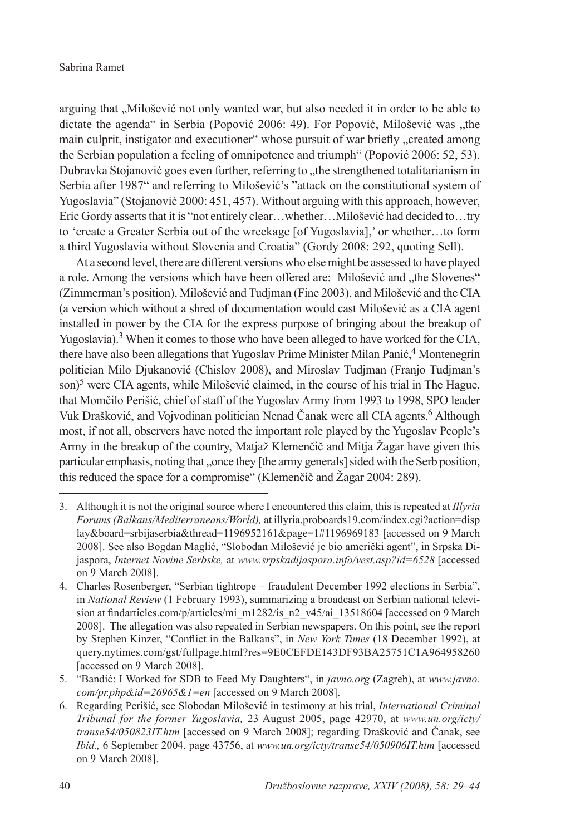arguing that "Milošević not only wanted war, but also needed it in order to be able to dictate the agenda" in Serbia (Popović 2006: 49). For Popović, Milošević was ..the main culprit, instigator and executioner" whose pursuit of war briefly "created among the Serbian population a feeling of omnipotence and triumph" (Popović 2006: 52, 53). Dubravka Stojanović goes even further, referring to "the strengthened totalitarianism in Serbia after 1987" and referring to Milošević's "attack on the constitutional system of Yugoslavia" (Stojanović 2000: 451, 457). Without arguing with this approach, however, Eric Gordy asserts that it is "not entirely clear…whether…Milošević had decided to…try to 'create a Greater Serbia out of the wreckage [of Yugoslavia],' or whether…to form a third Yugoslavia without Slovenia and Croatia" (Gordy 2008: 292, quoting Sell).

 At a second level, there are different versions who else might be assessed to have played a role. Among the versions which have been offered are: Milošević and "the Slovenes" (Zimmerman's position), Milošević and Tudjman (Fine 2003), and Milošević and the CIA (a version which without a shred of documentation would cast Milošević as a CIA agent installed in power by the CIA for the express purpose of bringing about the breakup of Yugoslavia).<sup>3</sup> When it comes to those who have been alleged to have worked for the CIA, there have also been allegations that Yugoslav Prime Minister Milan Panić,<sup>4</sup> Montenegrin politician Milo Djukanović (Chislov 2008), and Miroslav Tudjman (Franjo Tudjman's son)<sup>5</sup> were CIA agents, while Milošević claimed, in the course of his trial in The Hague, that Momčilo Perišić, chief of staff of the Yugoslav Army from 1993 to 1998, SPO leader Vuk Drašković, and Vojvodinan politician Nenad Čanak were all CIA agents.<sup>6</sup> Although most, if not all, observers have noted the important role played by the Yugoslav People's Army in the breakup of the country, Matjaž Klemenčič and Mitja Žagar have given this particular emphasis, noting that "once they [the army generals] sided with the Serb position, this reduced the space for a compromise" (Klemenčič and Žagar 2004: 289).

<sup>3.</sup> Although it is not the original source where I encountered this claim, this is repeated at *Illyria Forums (Balkans/Mediterraneans/World),* at illyria.proboards19.com/index.cgi?action=disp lay&board=srbijaserbia&thread=1196952161&page=1#1196969183 [accessed on 9 March 2008]. See also Bogdan Maglić, "Slobodan Milošević je bio američki agent", in Srpska Dijaspora, *Internet Novine Serbske,* at *www.srpskadijaspora.info/vest.asp?id=6528* [accessed on 9 March 2008].

<sup>4.</sup> Charles Rosenberger, "Serbian tightrope – fraudulent December 1992 elections in Serbia", in *National Review* (1 February 1993), summarizing a broadcast on Serbian national television at findarticles.com/p/articles/mi\_m1282/is\_n2\_v45/ai\_13518604 [accessed on 9 March 2008]. The allegation was also repeated in Serbian newspapers. On this point, see the report by Stephen Kinzer, "Conflict in the Balkans", in *New York Times* (18 December 1992), at query.nytimes.com/gst/fullpage.html?res=9E0CEFDE143DF93BA25751C1A964958260 [accessed on 9 March 2008].

<sup>5. &</sup>quot;Bandić: I Worked for SDB to Feed My Daughters", in *javno.org* (Zagreb), at *www.javno. com/pr.php&id=26965&1=en* [accessed on 9 March 2008].

<sup>6.</sup> Regarding Perišić, see Slobodan Milošević in testimony at his trial, *International Criminal Tribunal for the former Yugoslavia,* 23 August 2005, page 42970, at *www.un.org/icty/ transe54/050823IT.htm* [accessed on 9 March 2008]; regarding Drašković and Čanak, see *Ibid.,* 6 September 2004, page 43756, at *www.un.org/icty/transe54/050906IT.htm* [accessed on 9 March 2008].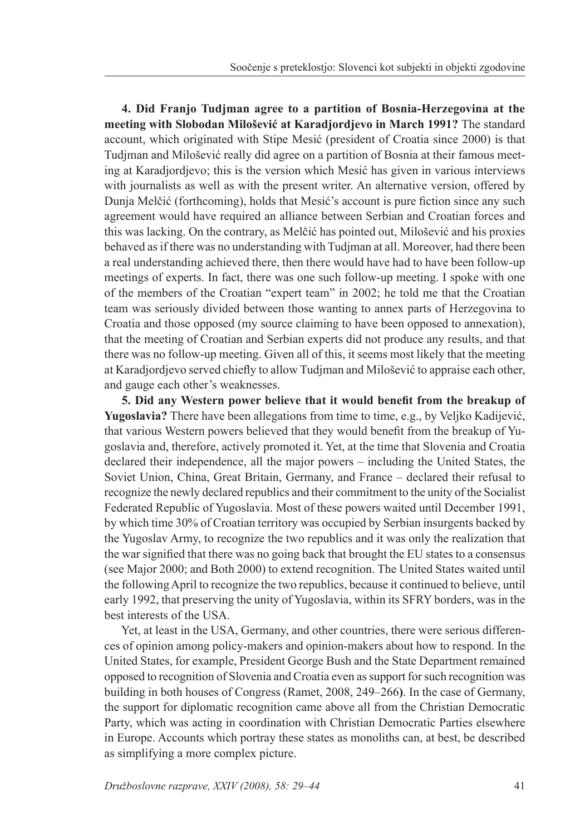**4. Did Franjo Tudjman agree to a partition of Bosnia-Herzegovina at the meeting with Slobodan Milošević at Karadjordjevo in March 1991?** The standard account, which originated with Stipe Mesić (president of Croatia since 2000) is that Tudjman and Milošević really did agree on a partition of Bosnia at their famous meeting at Karadjordjevo; this is the version which Mesić has given in various interviews with journalists as well as with the present writer. An alternative version, offered by Dunja Melčić (forthcoming), holds that Mesić's account is pure fiction since any such agreement would have required an alliance between Serbian and Croatian forces and this was lacking. On the contrary, as Melčić has pointed out, Milošević and his proxies behaved as if there was no understanding with Tudjman at all. Moreover, had there been a real understanding achieved there, then there would have had to have been follow-up meetings of experts. In fact, there was one such follow-up meeting. I spoke with one of the members of the Croatian "expert team" in 2002; he told me that the Croatian team was seriously divided between those wanting to annex parts of Herzegovina to Croatia and those opposed (my source claiming to have been opposed to annexation), that the meeting of Croatian and Serbian experts did not produce any results, and that there was no follow-up meeting. Given all of this, it seems most likely that the meeting at Karadjordjevo served chiefly to allow Tudjman and Milošević to appraise each other, and gauge each other's weaknesses.

 **5. Did any Western power believe that it would benefit from the breakup of Yugoslavia?** There have been allegations from time to time, e.g., by Veljko Kadijević, that various Western powers believed that they would benefit from the breakup of Yugoslavia and, therefore, actively promoted it. Yet, at the time that Slovenia and Croatia declared their independence, all the major powers – including the United States, the Soviet Union, China, Great Britain, Germany, and France – declared their refusal to recognize the newly declared republics and their commitment to the unity of the Socialist Federated Republic of Yugoslavia. Most of these powers waited until December 1991, by which time 30% of Croatian territory was occupied by Serbian insurgents backed by the Yugoslav Army, to recognize the two republics and it was only the realization that the war signified that there was no going back that brought the EU states to a consensus (see Major 2000; and Both 2000) to extend recognition. The United States waited until the following April to recognize the two republics, because it continued to believe, until early 1992, that preserving the unity of Yugoslavia, within its SFRY borders, was in the best interests of the USA.

 Yet, at least in the USA, Germany, and other countries, there were serious differences of opinion among policy-makers and opinion-makers about how to respond. In the United States, for example, President George Bush and the State Department remained opposed to recognition of Slovenia and Croatia even as support for such recognition was building in both houses of Congress (Ramet, 2008, 249–266**)**. In the case of Germany, the support for diplomatic recognition came above all from the Christian Democratic Party, which was acting in coordination with Christian Democratic Parties elsewhere in Europe. Accounts which portray these states as monoliths can, at best, be described as simplifying a more complex picture.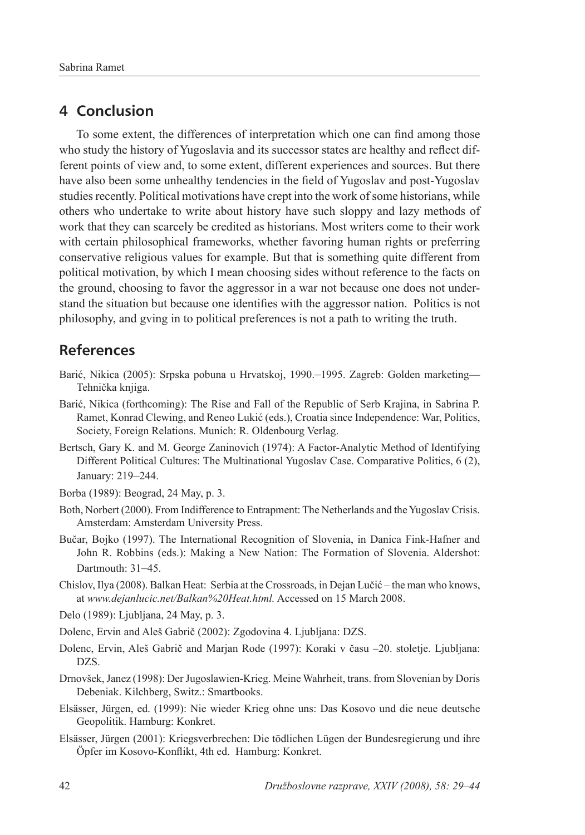# **4 Conclusion**

 To some extent, the differences of interpretation which one can find among those who study the history of Yugoslavia and its successor states are healthy and reflect different points of view and, to some extent, different experiences and sources. But there have also been some unhealthy tendencies in the field of Yugoslav and post-Yugoslav studies recently. Political motivations have crept into the work of some historians, while others who undertake to write about history have such sloppy and lazy methods of work that they can scarcely be credited as historians. Most writers come to their work with certain philosophical frameworks, whether favoring human rights or preferring conservative religious values for example. But that is something quite different from political motivation, by which I mean choosing sides without reference to the facts on the ground, choosing to favor the aggressor in a war not because one does not understand the situation but because one identifies with the aggressor nation. Politics is not philosophy, and gving in to political preferences is not a path to writing the truth.

# **References**

- Barić, Nikica (2005): Srpska pobuna u Hrvatskoj, 1990.–1995. Zagreb: Golden marketing— Tehnička knjiga.
- Barić, Nikica (forthcoming): The Rise and Fall of the Republic of Serb Krajina, in Sabrina P. Ramet, Konrad Clewing, and Reneo Lukić (eds.), Croatia since Independence: War, Politics, Society, Foreign Relations. Munich: R. Oldenbourg Verlag.
- Bertsch, Gary K. and M. George Zaninovich (1974): A Factor-Analytic Method of Identifying Different Political Cultures: The Multinational Yugoslav Case. Comparative Politics, 6 (2), January: 219–244.
- Borba (1989): Beograd, 24 May, p. 3.
- Both, Norbert (2000). From Indifference to Entrapment: The Netherlands and the Yugoslav Crisis. Amsterdam: Amsterdam University Press.
- Bučar, Bojko (1997). The International Recognition of Slovenia, in Danica Fink-Hafner and John R. Robbins (eds.): Making a New Nation: The Formation of Slovenia. Aldershot: Dartmouth: 31–45.
- Chislov, Ilya (2008). Balkan Heat: Serbia at the Crossroads, in Dejan Lučić the man who knows, at *www.dejanlucic.net/Balkan%20Heat.html.* Accessed on 15 March 2008.
- Delo (1989): Ljubljana, 24 May, p. 3.
- Dolenc, Ervin and Aleš Gabrič (2002): Zgodovina 4. Ljubljana: DZS.
- Dolenc, Ervin, Aleš Gabrič and Marjan Rode (1997): Koraki v času –20. stoletje. Ljubljana: DZS.
- Drnovšek, Janez (1998): Der Jugoslawien-Krieg. Meine Wahrheit, trans. from Slovenian by Doris Debeniak. Kilchberg, Switz.: Smartbooks.
- Elsässer, Jürgen, ed. (1999): Nie wieder Krieg ohne uns: Das Kosovo und die neue deutsche Geopolitik. Hamburg: Konkret.
- Elsässer, Jürgen (2001): Kriegsverbrechen: Die tödlichen Lügen der Bundesregierung und ihre Öpfer im Kosovo-Konflikt, 4th ed. Hamburg: Konkret.�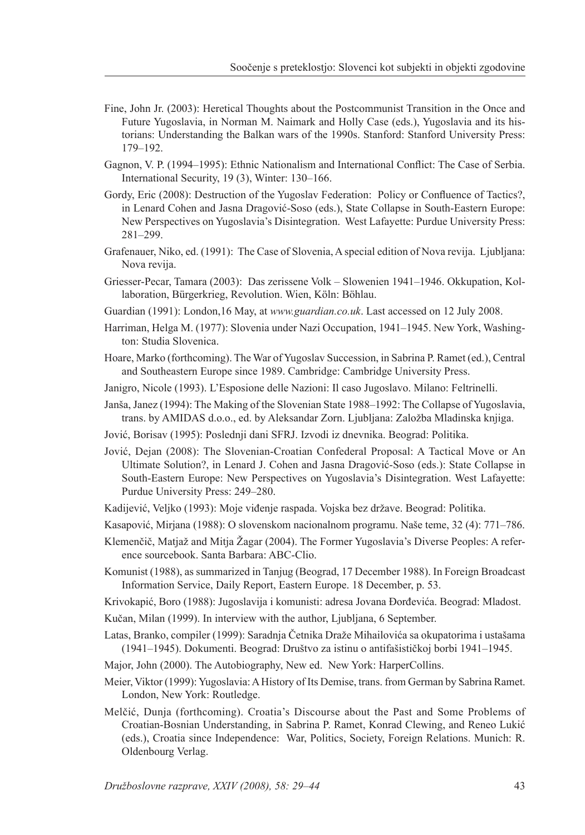- Fine, John Jr. (2003): Heretical Thoughts about the Postcommunist Transition in the Once and Future Yugoslavia, in Norman M. Naimark and Holly Case (eds.), Yugoslavia and its historians: Understanding the Balkan wars of the 1990s. Stanford: Stanford University Press: 179–192.
- Gagnon, V. P. (1994–1995): Ethnic Nationalism and International Conflict: The Case of Serbia. International Security, 19 (3), Winter: 130–166.
- Gordy, Eric (2008): Destruction of the Yugoslav Federation: Policy or Confluence of Tactics?, in Lenard Cohen and Jasna Dragović-Soso (eds.), State Collapse in South-Eastern Europe: New Perspectives on Yugoslavia's Disintegration. West Lafayette: Purdue University Press: 281–299.
- Grafenauer, Niko, ed. (1991): The Case of Slovenia, A special edition of Nova revija. Ljubljana: Nova revija.
- Griesser-Pecar, Tamara (2003): Das zerissene Volk Slowenien 1941–1946. Okkupation, Kollaboration, Bürgerkrieg, Revolution. Wien, Köln: Böhlau.
- Guardian (1991): London,16 May, at *www.guardian.co.uk*. Last accessed on 12 July 2008.
- Harriman, Helga M. (1977): Slovenia under Nazi Occupation, 1941–1945. New York, Washington: Studia Slovenica.
- Hoare, Marko (forthcoming). The War of Yugoslav Succession, in Sabrina P. Ramet (ed.), Central and Southeastern Europe since 1989. Cambridge: Cambridge University Press.
- Janigro, Nicole (1993). L'Esposione delle Nazioni: Il caso Jugoslavo. Milano: Feltrinelli.
- Janša, Janez (1994): The Making of the Slovenian State 1988–1992: The Collapse of Yugoslavia, trans. by AMIDAS d.o.o., ed. by Aleksandar Zorn. Ljubljana: Založba Mladinska knjiga.
- Jović, Borisav (1995): Poslednji dani SFRJ. Izvodi iz dnevnika. Beograd: Politika.
- Jović, Dejan (2008): The Slovenian-Croatian Confederal Proposal: A Tactical Move or An Ultimate Solution?, in Lenard J. Cohen and Jasna Dragović-Soso (eds.): State Collapse in South-Eastern Europe: New Perspectives on Yugoslavia's Disintegration. West Lafayette: Purdue University Press: 249–280.
- Kadijević, Veljko (1993): Moje viđenje raspada. Vojska bez države. Beograd: Politika.
- Kasapović, Mirjana (1988): O slovenskom nacionalnom programu. Naše teme, 32 (4): 771–786.
- Klemenčič, Matjaž and Mitja Žagar (2004). The Former Yugoslavia's Diverse Peoples: A reference sourcebook. Santa Barbara: ABC-Clio.
- Komunist (1988), as summarized in Tanjug (Beograd, 17 December 1988). In Foreign Broadcast Information Service, Daily Report, Eastern Europe. 18 December, p. 53.
- Krivokapić, Boro (1988): Jugoslavija i komunisti: adresa Jovana Đorđevića. Beograd: Mladost.
- Kučan, Milan (1999). In interview with the author, Ljubljana, 6 September.
- Latas, Branko, compiler (1999): Saradnja Četnika Draže Mihailovića sa okupatorima i ustašama (1941–1945). Dokumenti. Beograd: Društvo za istinu o antifašističkoj borbi 1941–1945.
- Major, John (2000). The Autobiography, New ed. New York: HarperCollins.
- Meier, Viktor (1999): Yugoslavia: A History of Its Demise, trans. from German by Sabrina Ramet. London, New York: Routledge.
- Melčić, Dunja (forthcoming). Croatia's Discourse about the Past and Some Problems of Croatian-Bosnian Understanding, in Sabrina P. Ramet, Konrad Clewing, and Reneo Lukić (eds.), Croatia since Independence: War, Politics, Society, Foreign Relations. Munich: R. Oldenbourg Verlag.